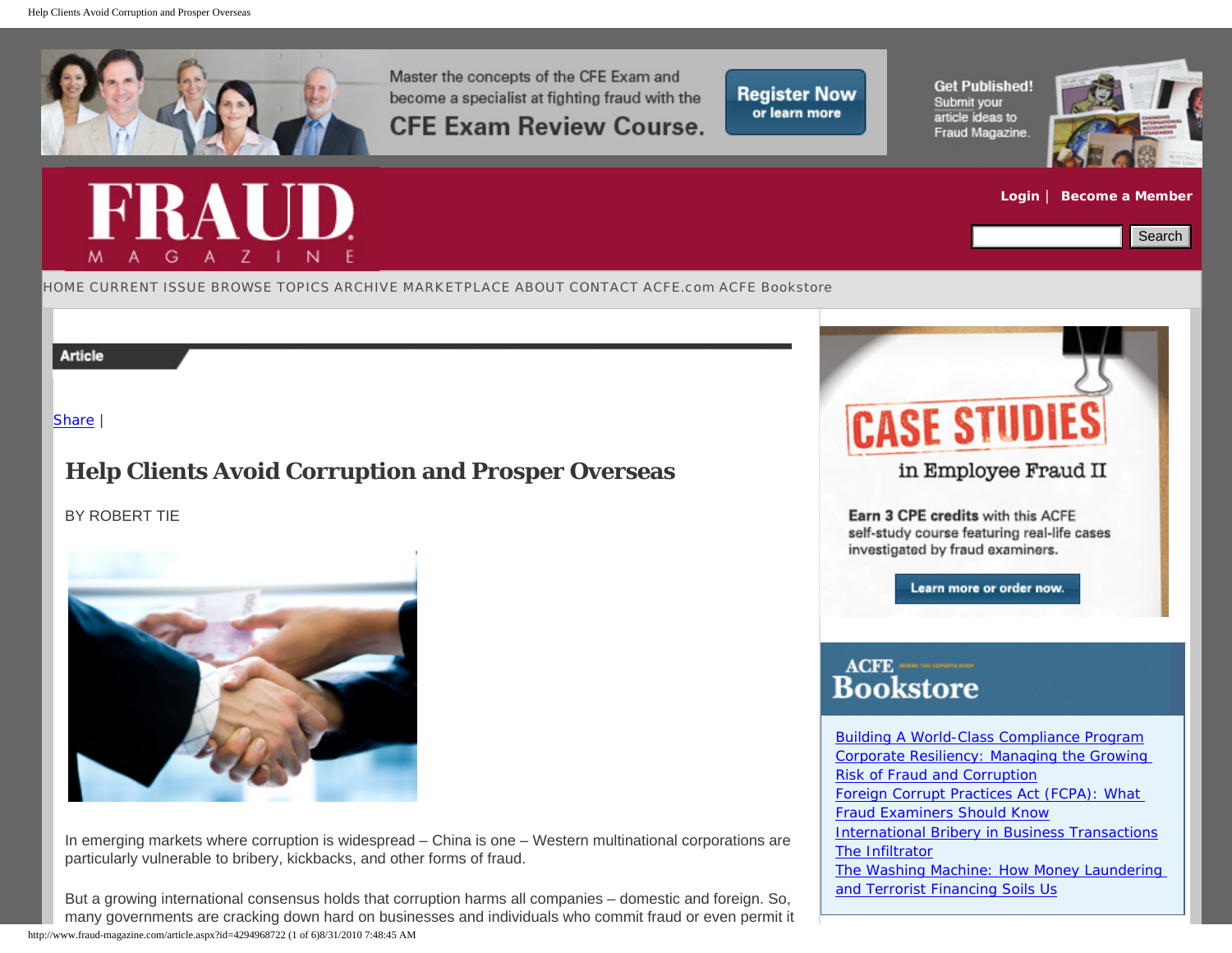

[HOME](http://www.fraud-magazine.com/default.aspx) [CURRENT ISSUE](http://www.fraud-magazine.com/current.aspx) [BROWSE TOPICS](http://www.fraud-magazine.com/browse-topics.aspx) [ARCHIVE](http://www.fraud-magazine.com/archive-index.aspx) [MARKETPLACE](http://www.fraud-magazine.com/marketplace.aspx) [ABOUT](http://www.fraud-magazine.com/about-fraud-magazine.aspx) [CONTACT](http://www.fraud-magazine.com/Contact.aspx) [ACFE.com](http://www.acfe.com/) [ACFE Bookstore](http://eweb.acfe.com/eweb/DynamicPage.aspx?Site=ACFE&WebCode=bookstore)

[Share](http://www.addthis.com/bookmark.php?v=250&username=acfe) |

# **Help Clients Avoid Corruption and Prosper Overseas**

BY ROBERT TIE



In emerging markets where corruption is widespread – China is one – Western multinational corporations are particularly vulnerable to bribery, kickbacks, and other forms of fraud.

But a growing international consensus holds that corruption harms all companies – domestic and foreign. So, many governments are cracking down hard on businesses and individuals who commit fraud or even permit it



**Get Published!** 

Submit your

article ideas to

Fraud Magazine.

**Register Now** 

or learn more



# **[Login](http://www.fraud-magazine.com/login.aspx?redirectURL=/article.aspx?id=4294968722)** | **[Become a Member](http://www.fraud-magazine.com/ACFE-Membership.aspx)**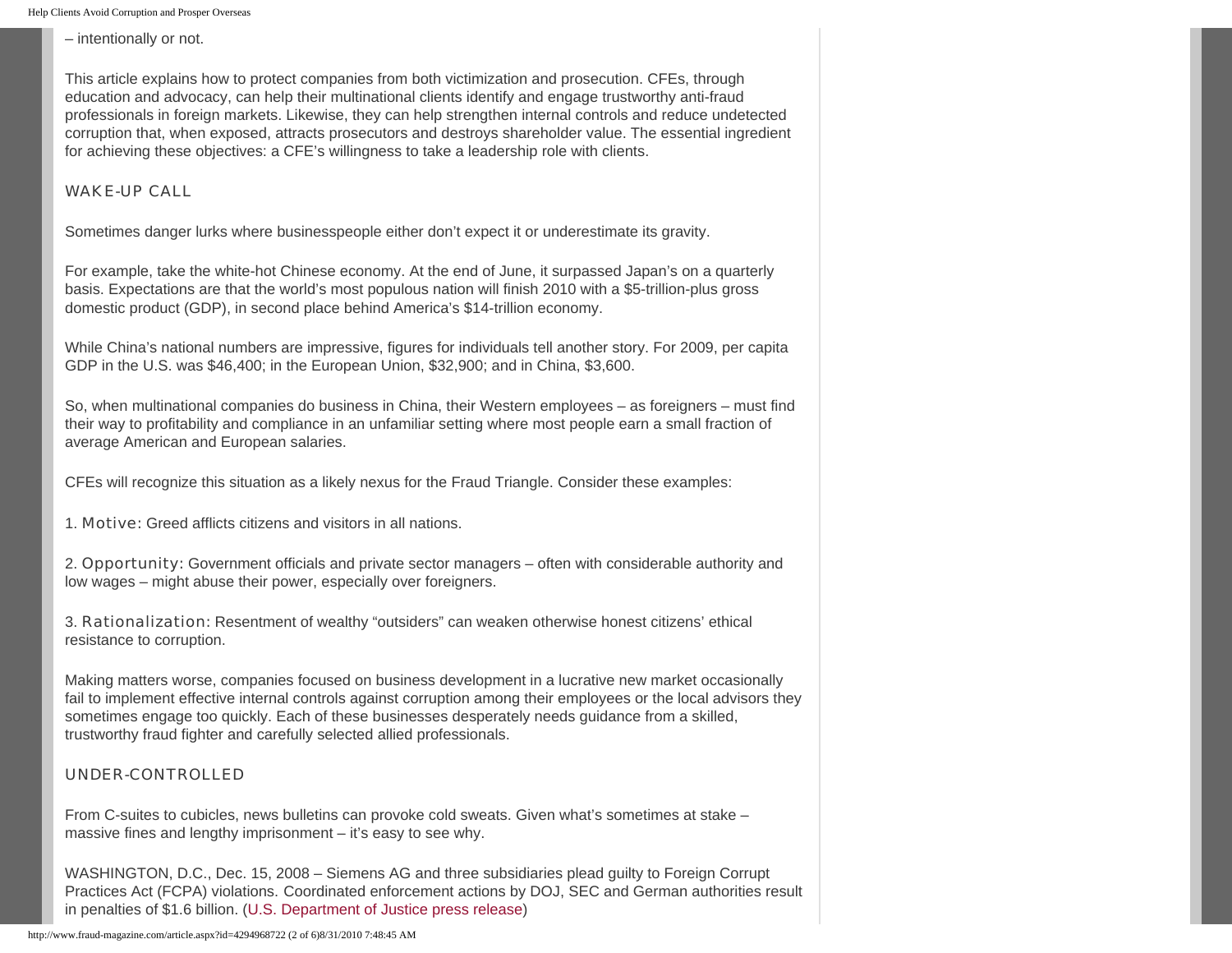– intentionally or not.

This article explains how to protect companies from both victimization and prosecution. CFEs, through education and advocacy, can help their multinational clients identify and engage trustworthy anti-fraud professionals in foreign markets. Likewise, they can help strengthen internal controls and reduce undetected corruption that, when exposed, attracts prosecutors and destroys shareholder value. The essential ingredient for achieving these objectives: a CFE's willingness to take a leadership role with clients.

#### WAKE-UP CALL

Sometimes danger lurks where businesspeople either don't expect it or underestimate its gravity.

For example, take the white-hot Chinese economy. At the end of June, it surpassed Japan's on a quarterly basis. Expectations are that the world's most populous nation will finish 2010 with a \$5-trillion-plus gross domestic product (GDP), in second place behind America's \$14-trillion economy.

While China's national numbers are impressive, figures for individuals tell another story. For 2009, per capita GDP in the U.S. was \$46,400; in the European Union, \$32,900; and in China, \$3,600.

So, when multinational companies do business in China, their Western employees – as foreigners – must find their way to profitability and compliance in an unfamiliar setting where most people earn a small fraction of average American and European salaries.

CFEs will recognize this situation as a likely nexus for the Fraud Triangle. Consider these examples:

1. Motive: Greed afflicts citizens and visitors in all nations.

2. **Opportunity:** Government officials and private sector managers – often with considerable authority and low wages – might abuse their power, especially over foreigners.

3. Rationalization: Resentment of wealthy "outsiders" can weaken otherwise honest citizens' ethical resistance to corruption.

Making matters worse, companies focused on business development in a lucrative new market occasionally fail to implement effective internal controls against corruption among their employees or the local advisors they sometimes engage too quickly. Each of these businesses desperately needs guidance from a skilled, trustworthy fraud fighter and carefully selected allied professionals.

### UNDER-CONTROLLED

From C-suites to cubicles, news bulletins can provoke cold sweats. Given what's sometimes at stake – massive fines and lengthy imprisonment – it's easy to see why.

WASHINGTON, D.C., Dec. 15, 2008 – Siemens AG and three subsidiaries plead guilty to Foreign Corrupt Practices Act (FCPA) violations. Coordinated enforcement actions by DOJ, SEC and German authorities result in penalties of \$1.6 billion. [\(U.S. Department of Justice press release\)](http://www.justice.gov/opa/pr/2008/December/08-crm-1105.html)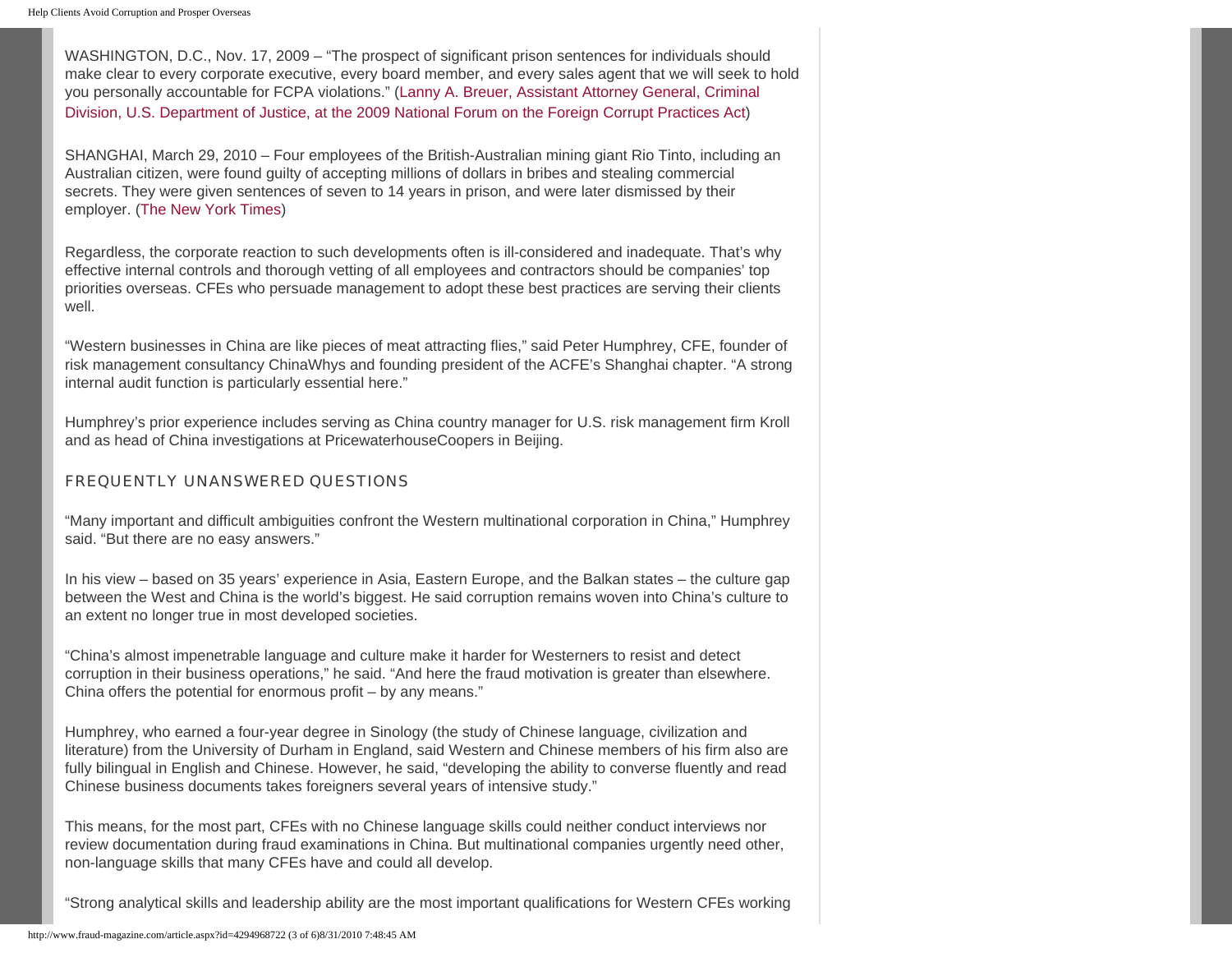WASHINGTON, D.C., Nov. 17, 2009 – "The prospect of significant prison sentences for individuals should make clear to every corporate executive, every board member, and every sales agent that we will seek to hold you personally accountable for FCPA violations." ([Lanny A. Breuer, Assistant Attorney General, Criminal](http://www.justice.gov/criminal/pr/speeches-testimony/documents/11-17-09aagbreuer-remarks-fcpa.pdf) [Division, U.S. Department of Justice, at the 2009 National Forum on the Foreign Corrupt Practices Act](http://www.justice.gov/criminal/pr/speeches-testimony/documents/11-17-09aagbreuer-remarks-fcpa.pdf))

SHANGHAI, March 29, 2010 – Four employees of the British-Australian mining giant Rio Tinto, including an Australian citizen, were found guilty of accepting millions of dollars in bribes and stealing commercial secrets. They were given sentences of seven to 14 years in prison, and were later dismissed by their employer. [\(The New York Times\)](http://www.nytimes.com/2010/03/30/business/global/30riotinto.html)

Regardless, the corporate reaction to such developments often is ill-considered and inadequate. That's why effective internal controls and thorough vetting of all employees and contractors should be companies' top priorities overseas. CFEs who persuade management to adopt these best practices are serving their clients well.

"Western businesses in China are like pieces of meat attracting flies," said Peter Humphrey, CFE, founder of risk management consultancy ChinaWhys and founding president of the ACFE's Shanghai chapter. "A strong internal audit function is particularly essential here."

Humphrey's prior experience includes serving as China country manager for U.S. risk management firm Kroll and as head of China investigations at PricewaterhouseCoopers in Beijing.

# FREQUENTLY UNANSWERED QUESTIONS

"Many important and difficult ambiguities confront the Western multinational corporation in China," Humphrey said. "But there are no easy answers."

In his view – based on 35 years' experience in Asia, Eastern Europe, and the Balkan states – the culture gap between the West and China is the world's biggest. He said corruption remains woven into China's culture to an extent no longer true in most developed societies.

"China's almost impenetrable language and culture make it harder for Westerners to resist and detect corruption in their business operations," he said. "And here the fraud motivation is greater than elsewhere. China offers the potential for enormous profit – by any means."

Humphrey, who earned a four-year degree in Sinology (the study of Chinese language, civilization and literature) from the University of Durham in England, said Western and Chinese members of his firm also are fully bilingual in English and Chinese. However, he said, "developing the ability to converse fluently and read Chinese business documents takes foreigners several years of intensive study."

This means, for the most part, CFEs with no Chinese language skills could neither conduct interviews nor review documentation during fraud examinations in China. But multinational companies urgently need other, non-language skills that many CFEs have and could all develop.

"Strong analytical skills and leadership ability are the most important qualifications for Western CFEs working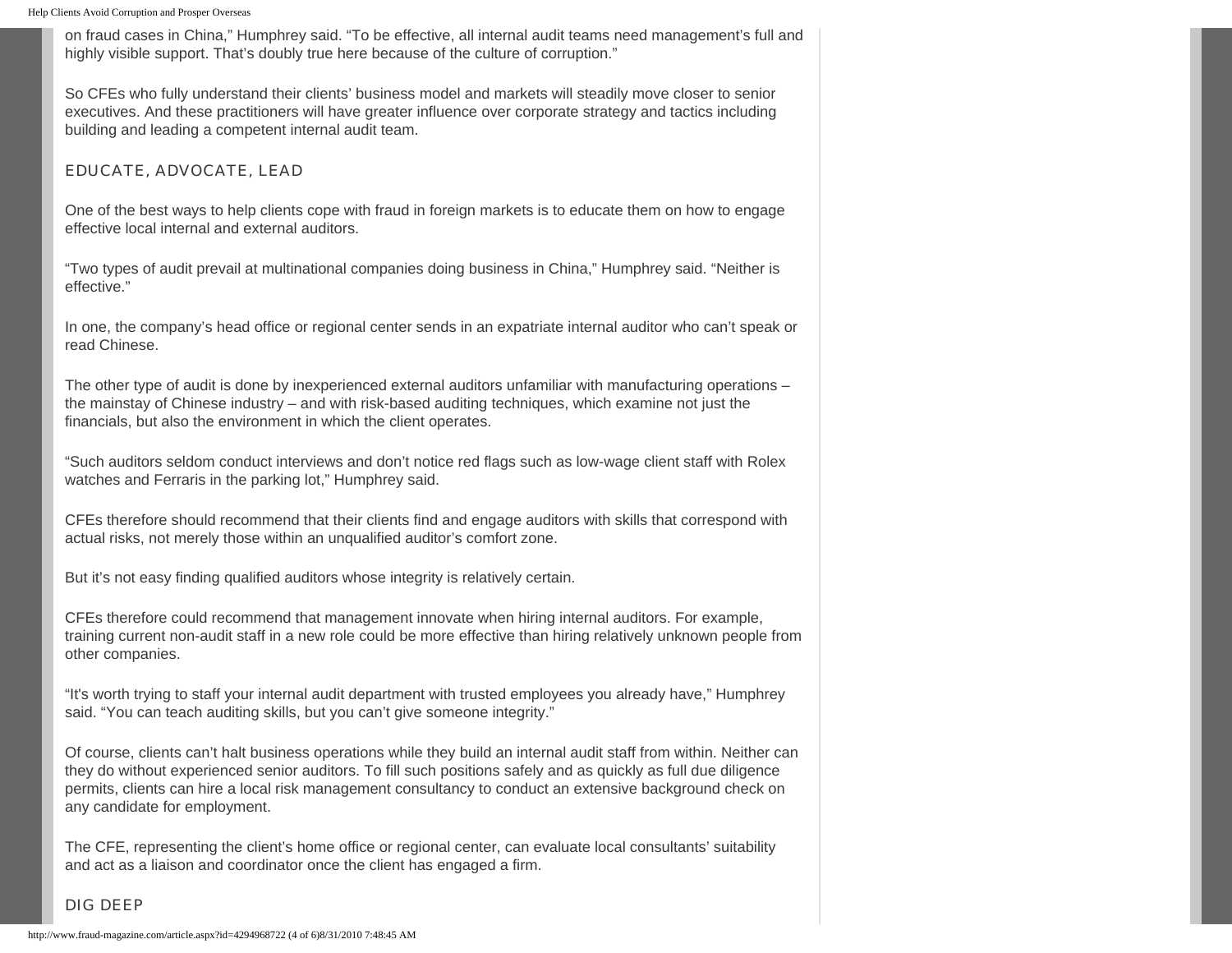on fraud cases in China," Humphrey said. "To be effective, all internal audit teams need management's full and highly visible support. That's doubly true here because of the culture of corruption."

So CFEs who fully understand their clients' business model and markets will steadily move closer to senior executives. And these practitioners will have greater influence over corporate strategy and tactics including building and leading a competent internal audit team.

### EDUCATE, ADVOCATE, LEAD

One of the best ways to help clients cope with fraud in foreign markets is to educate them on how to engage effective local internal and external auditors.

"Two types of audit prevail at multinational companies doing business in China," Humphrey said. "Neither is effective."

In one, the company's head office or regional center sends in an expatriate internal auditor who can't speak or read Chinese.

The other type of audit is done by inexperienced external auditors unfamiliar with manufacturing operations – the mainstay of Chinese industry – and with risk-based auditing techniques, which examine not just the financials, but also the environment in which the client operates.

"Such auditors seldom conduct interviews and don't notice red flags such as low-wage client staff with Rolex watches and Ferraris in the parking lot," Humphrey said.

CFEs therefore should recommend that their clients find and engage auditors with skills that correspond with actual risks, not merely those within an unqualified auditor's comfort zone.

But it's not easy finding qualified auditors whose integrity is relatively certain.

CFEs therefore could recommend that management innovate when hiring internal auditors. For example, training current non-audit staff in a new role could be more effective than hiring relatively unknown people from other companies.

"It's worth trying to staff your internal audit department with trusted employees you already have," Humphrey said. "You can teach auditing skills, but you can't give someone integrity."

Of course, clients can't halt business operations while they build an internal audit staff from within. Neither can they do without experienced senior auditors. To fill such positions safely and as quickly as full due diligence permits, clients can hire a local risk management consultancy to conduct an extensive background check on any candidate for employment.

The CFE, representing the client's home office or regional center, can evaluate local consultants' suitability and act as a liaison and coordinator once the client has engaged a firm.

#### DIG DEEP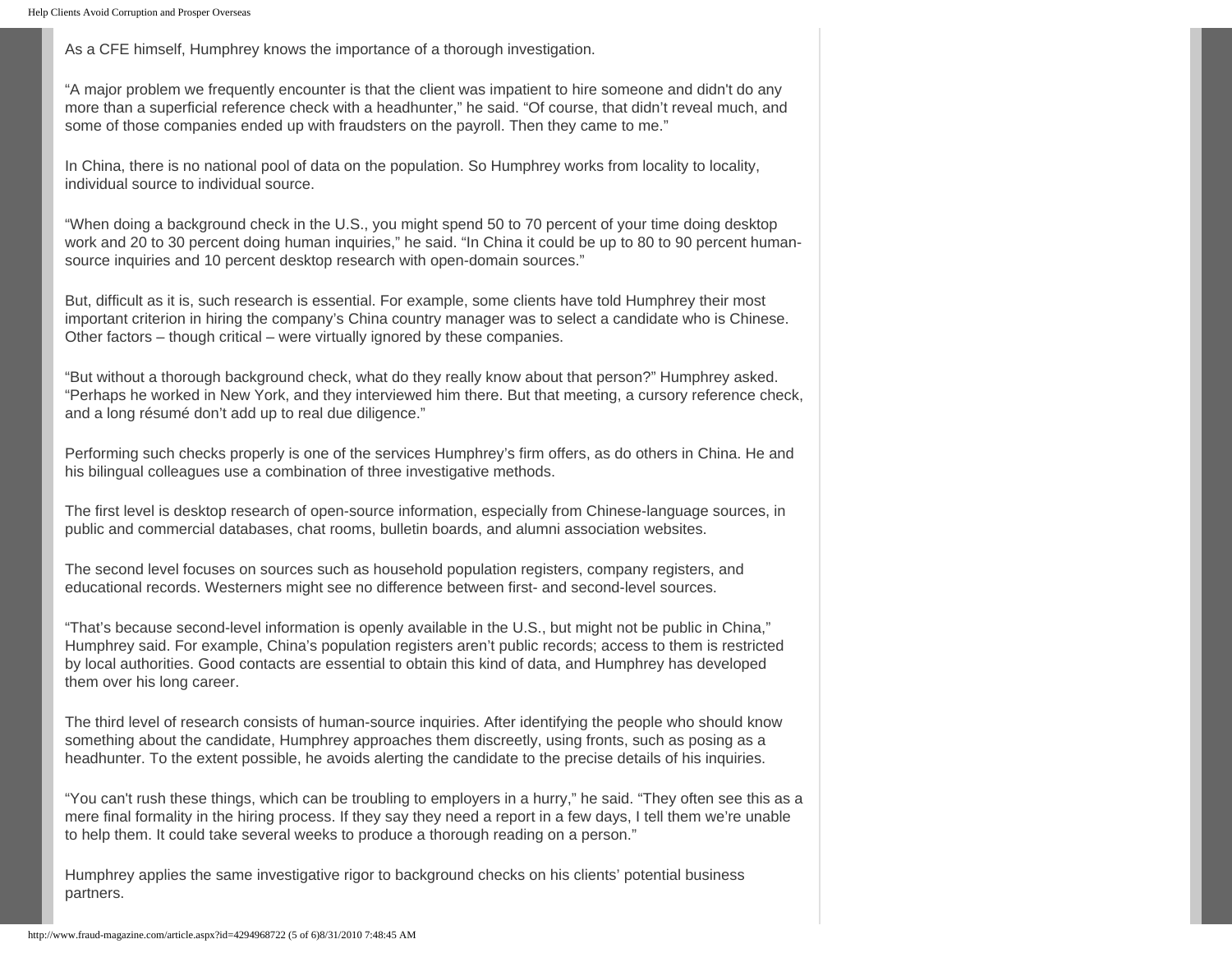As a CFE himself, Humphrey knows the importance of a thorough investigation.

"A major problem we frequently encounter is that the client was impatient to hire someone and didn't do any more than a superficial reference check with a headhunter," he said. "Of course, that didn't reveal much, and some of those companies ended up with fraudsters on the payroll. Then they came to me."

In China, there is no national pool of data on the population. So Humphrey works from locality to locality, individual source to individual source.

"When doing a background check in the U.S., you might spend 50 to 70 percent of your time doing desktop work and 20 to 30 percent doing human inquiries," he said. "In China it could be up to 80 to 90 percent humansource inquiries and 10 percent desktop research with open-domain sources."

But, difficult as it is, such research is essential. For example, some clients have told Humphrey their most important criterion in hiring the company's China country manager was to select a candidate who is Chinese. Other factors – though critical – were virtually ignored by these companies.

"But without a thorough background check, what do they really know about that person?" Humphrey asked. "Perhaps he worked in New York, and they interviewed him there. But that meeting, a cursory reference check, and a long résumé don't add up to real due diligence."

Performing such checks properly is one of the services Humphrey's firm offers, as do others in China. He and his bilingual colleagues use a combination of three investigative methods.

The first level is desktop research of open-source information, especially from Chinese-language sources, in public and commercial databases, chat rooms, bulletin boards, and alumni association websites.

The second level focuses on sources such as household population registers, company registers, and educational records. Westerners might see no difference between first- and second-level sources.

"That's because second-level information is openly available in the U.S., but might not be public in China," Humphrey said. For example, China's population registers aren't public records; access to them is restricted by local authorities. Good contacts are essential to obtain this kind of data, and Humphrey has developed them over his long career.

The third level of research consists of human-source inquiries. After identifying the people who should know something about the candidate, Humphrey approaches them discreetly, using fronts, such as posing as a headhunter. To the extent possible, he avoids alerting the candidate to the precise details of his inquiries.

"You can't rush these things, which can be troubling to employers in a hurry," he said. "They often see this as a mere final formality in the hiring process. If they say they need a report in a few days, I tell them we're unable to help them. It could take several weeks to produce a thorough reading on a person."

Humphrey applies the same investigative rigor to background checks on his clients' potential business partners.